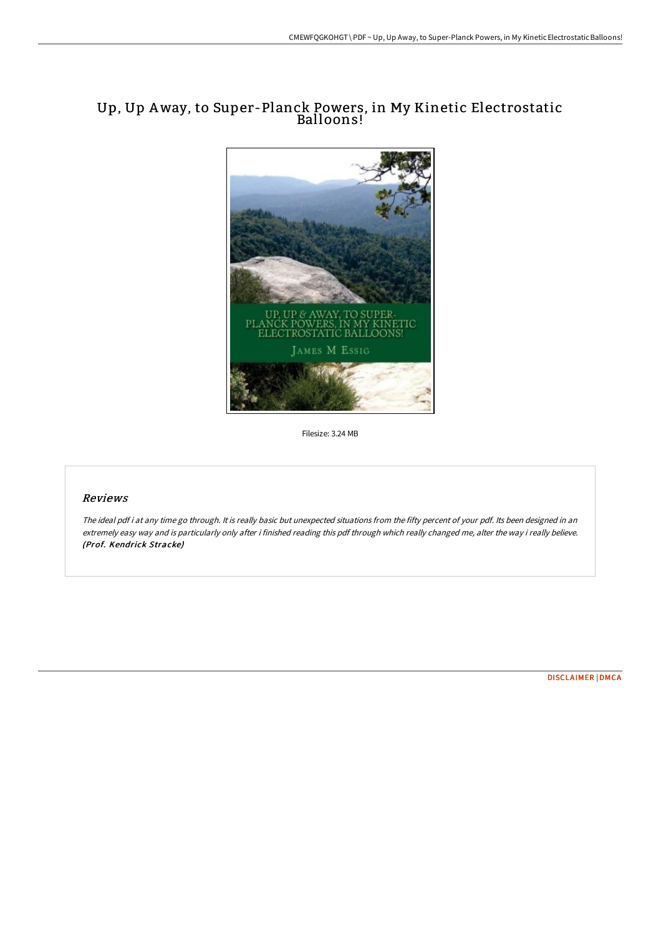## Up, Up Away, to Super-Planck Powers, in My Kinetic Electrostatic Balloons!



Filesize: 3.24 MB

## Reviews

The ideal pdf i at any time go through. It is really basic but unexpected situations from the fifty percent of your pdf. Its been designed in an extremely easy way and is particularly only after i finished reading this pdf through which really changed me, alter the way i really believe. (Prof. Kendrick Stracke)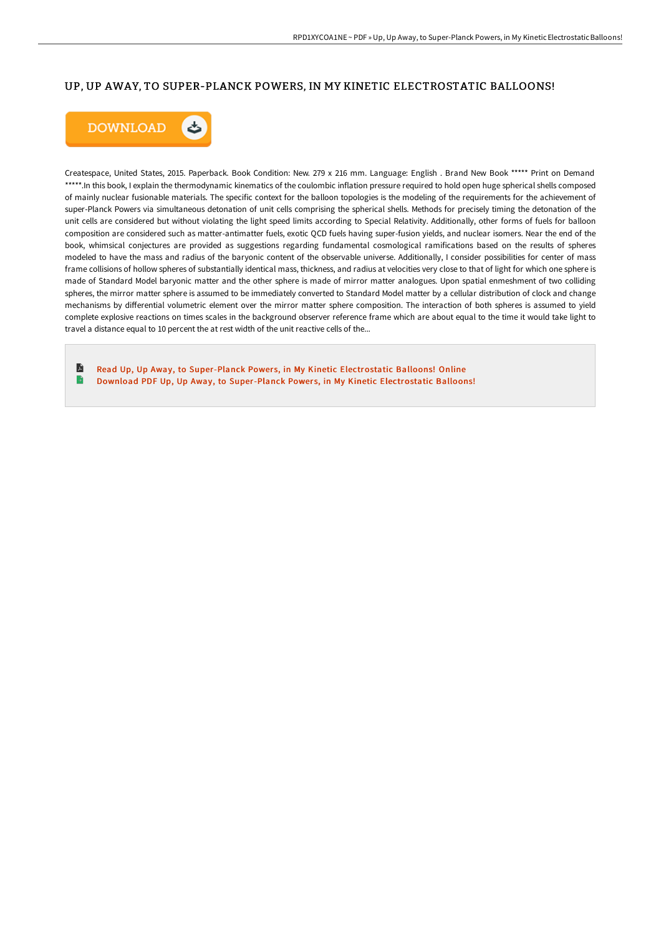## UP, UP AWAY, TO SUPER-PLANCK POWERS, IN MY KINETIC ELECTROSTATIC BALLOONS!



Createspace, United States, 2015. Paperback. Book Condition: New. 279 x 216 mm. Language: English . Brand New Book \*\*\*\*\* Print on Demand \*\*\*\*\*.In this book, I explain the thermodynamic kinematics of the coulombic inflation pressure required to hold open huge spherical shells composed of mainly nuclear fusionable materials. The specific context for the balloon topologies is the modeling of the requirements for the achievement of super-Planck Powers via simultaneous detonation of unit cells comprising the spherical shells. Methods for precisely timing the detonation of the unit cells are considered but without violating the light speed limits according to Special Relativity. Additionally, other forms of fuels for balloon composition are considered such as matter-antimatter fuels, exotic QCD fuels having super-fusion yields, and nuclear isomers. Near the end of the book, whimsical conjectures are provided as suggestions regarding fundamental cosmological ramifications based on the results of spheres modeled to have the mass and radius of the baryonic content of the observable universe. Additionally, I consider possibilities for center of mass frame collisions of hollow spheres of substantially identical mass, thickness, and radius at velocities very close to that of light for which one sphere is made of Standard Model baryonic matter and the other sphere is made of mirror matter analogues. Upon spatial enmeshment of two colliding spheres, the mirror matter sphere is assumed to be immediately converted to Standard Model matter by a cellular distribution of clock and change mechanisms by diHerential volumetric element over the mirror matter sphere composition. The interaction of both spheres is assumed to yield complete explosive reactions on times scales in the background observer reference frame which are about equal to the time it would take light to travel a distance equal to 10 percent the at rest width of the unit reactive cells of the...

R Read Up, Up Away, to [Super-Planck](http://www.bookdirs.com/up-up-away-to-super-planck-powers-in-my-kinetic-.html) Powers, in My Kinetic Electrostatic Balloons! Online B Download PDF Up, Up Away, to [Super-Planck](http://www.bookdirs.com/up-up-away-to-super-planck-powers-in-my-kinetic-.html) Powers, in My Kinetic Electrostatic Balloons!